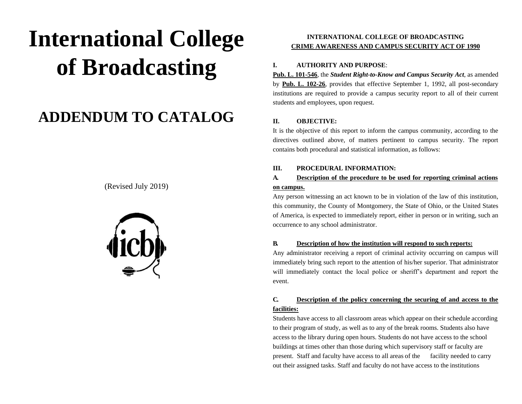# **International College of Broadcasting**

## **ADDENDUM TO CATALOG**

(Revised July 2019)



#### **INTERNATIONAL COLLEGE OF BROADCASTING CRIME AWARENESS AND CAMPUS SECURITY ACT OF 1990**

#### **I. AUTHORITY AND PURPOSE**:

**Pub. L. 101-546**, the *Student Right-to-Know and Campus Security Act*, as amended by **Pub. L. 102-26**, provides that effective September 1, 1992, all post-secondary institutions are required to provide a campus security report to all of their current students and employees, upon request.

#### **II. OBJECTIVE:**

It is the objective of this report to inform the campus community, according to the directives outlined above, of matters pertinent to campus security. The report contains both procedural and statistical information, as follows:

#### **III. PROCEDURAL INFORMATION:**

#### **A. Description of the procedure to be used for reporting criminal actions on campus.**

Any person witnessing an act known to be in violation of the law of this institution, this community, the County of Montgomery, the State of Ohio, or the United States of America, is expected to immediately report, either in person or in writing, such an occurrence to any school administrator.

#### **B. Description of how the institution will respond to such reports:**

Any administrator receiving a report of criminal activity occurring on campus will immediately bring such report to the attention of his/her superior. That administrator will immediately contact the local police or sheriff's department and report the event.

#### **C. Description of the policy concerning the securing of and access to the facilities:**

Students have access to all classroom areas which appear on their schedule according to their program of study, as well as to any of the break rooms. Students also have access to the library during open hours. Students do not have access to the school buildings at times other than those during which supervisory staff or faculty are present. Staff and faculty have access to all areas of the facility needed to carry out their assigned tasks. Staff and faculty do not have access to the institutions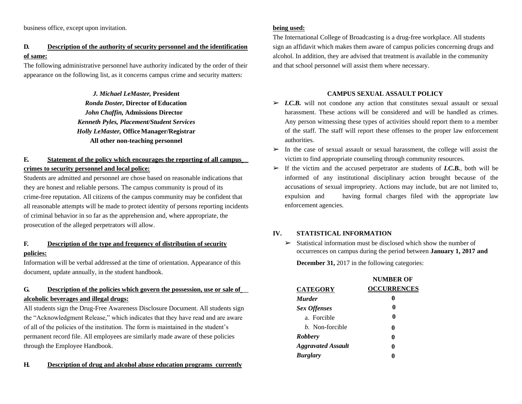business office, except upon invitation.

#### **D. Description of the authority of security personnel and the identification of same:**

The following administrative personnel have authority indicated by the order of their appearance on the following list, as it concerns campus crime and security matters:

> *J. Michael LeMaster,* **President**  $Ronda$  *Doster, Director of Education John Chaffin,* **Admissions Director** *Kenneth Pyles, Placement/Student Services Holly LeMaster,* **Office Manager/Registrar All other non-teaching personnel**

#### **E. Statement of the policy which encourages the reporting of all campus crimes to security personnel and local police:**

Students are admitted and personnel are chose based on reasonable indications that they are honest and reliable persons. The campus community is proud of its crime-free reputation. All citizens of the campus community may be confident that all reasonable attempts will be made to protect identity of persons reporting incidents of criminal behavior in so far as the apprehension and, where appropriate, the prosecution of the alleged perpetrators will allow.

#### **F. Description of the type and frequency of distribution of security policies:**

Information will be verbal addressed at the time of orientation. Appearance of this document, update annually, in the student handbook.

#### **G. Description of the policies which govern the possession, use or sale of alcoholic beverages and illegal drugs:**

All students sign the Drug-Free Awareness Disclosure Document. All students sign the "Acknowledgment Release," which indicates that they have read and are aware of all of the policies of the institution. The form is maintained in the student's permanent record file. All employees are similarly made aware of these policies through the Employee Handbook.

#### **H. Description of drug and alcohol abuse education programs currently**

**being used:**

The International College of Broadcasting is a drug-free workplace. All students sign an affidavit which makes them aware of campus policies concerning drugs and alcohol. In addition, they are advised that treatment is available in the community and that school personnel will assist them where necessary.

#### **CAMPUS SEXUAL ASSAULT POLICY**

- ➢ *I.C.B.* will not condone any action that constitutes sexual assault or sexual harassment. These actions will be considered and will be handled as crimes. Any person witnessing these types of activities should report them to a member of the staff. The staff will report these offenses to the proper law enforcement authorities.
- ➢ In the case of sexual assault or sexual harassment, the college will assist the victim to find appropriate counseling through community resources.
- $\triangleright$  If the victim and the accused perpetrator are students of *I.C.B.*, both will be informed of any institutional disciplinary action brought because of the accusations of sexual impropriety. Actions may include, but are not limited to, expulsion and having formal charges filed with the appropriate law enforcement agencies.

#### **IV. STATISTICAL INFORMATION**

 $\triangleright$  Statistical information must be disclosed which show the number of occurrences on campus during the period between **January 1, 2017 and**

**December 31,** 2017 in the following categories:

|                           | <b>NUMBER OF</b>   |
|---------------------------|--------------------|
| <b>CATEGORY</b>           | <b>OCCURRENCES</b> |
| <i>Murder</i>             | 0                  |
| <b>Sex Offenses</b>       | 0                  |
| a. Forcible               | 0                  |
| <i>b.</i> Non-forcible    | 0                  |
| <b>Robbery</b>            | 0                  |
| <b>Aggravated Assault</b> | o                  |
| <b>Burglary</b>           |                    |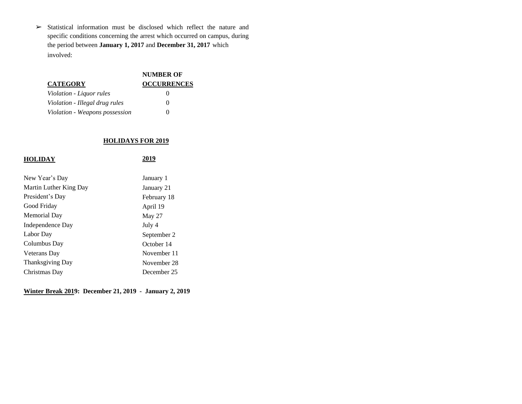$\triangleright$  Statistical information must be disclosed which reflect the nature and specific conditions concerning the arrest which occurred on campus, during the period between **January 1, 2017** and **December 31, 2017** which involved:

|                                | <b>NUMBER OF</b>   |
|--------------------------------|--------------------|
| <b>CATEGORY</b>                | <b>OCCURRENCES</b> |
| Violation - Liquor rules       | 0                  |
| Violation - Illegal drug rules | $\mathbf{0}$       |
| Violation - Weapons possession | 0                  |

#### **HOLIDAYS FOR 2019**

| <b>HOLIDAY</b>          | 2019        |
|-------------------------|-------------|
|                         |             |
| New Year's Day          | January 1   |
| Martin Luther King Day  | January 21  |
| President's Day         | February 18 |
| Good Friday             | April 19    |
| Memorial Day            | May 27      |
| Independence Day        | July 4      |
| Labor Day               | September 2 |
| Columbus Day            | October 14  |
| Veterans Day            | November 11 |
| <b>Thanksgiving Day</b> | November 28 |
| Christmas Day           | December 25 |

**Winter Break 2019: December 21, 2019 - January 2, 2019**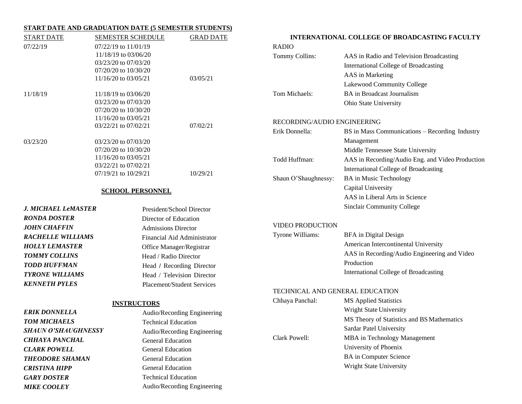#### **START DATE AND GRADUATION DATE (5 SEMESTER STUDENTS)**

*MIKE COOLEY*

| <b>START DATE</b>          | <b>SEMESTER SCHEDULE</b>                     | <b>GRAD DATE</b>                  |                                 | <b>INTERNATIONAL COLLEGE OF BROADCASTING FACULTY</b> |
|----------------------------|----------------------------------------------|-----------------------------------|---------------------------------|------------------------------------------------------|
| 07/22/19                   | 07/22/19 to 11/01/19                         |                                   | <b>RADIO</b>                    |                                                      |
|                            | 11/18/19 to 03/06/20                         |                                   | Tommy Collins:                  | AAS in Radio and Television Broadcasting             |
|                            | 03/23/20 to 07/03/20                         |                                   |                                 | International College of Broadcasting                |
|                            | 07/20/20 to 10/30/20                         |                                   |                                 | AAS in Marketing                                     |
|                            | 11/16/20 to 03/05/21                         | 03/05/21                          |                                 | Lakewood Community College                           |
| 11/18/19                   | 11/18/19 to 03/06/20                         |                                   | Tom Michaels:                   | <b>BA</b> in Broadcast Journalism                    |
|                            | 03/23/20 to 07/03/20                         |                                   |                                 | Ohio State University                                |
|                            | 07/20/20 to 10/30/20                         |                                   |                                 |                                                      |
|                            | 11/16/20 to 03/05/21                         |                                   | RECORDING/AUDIO ENGINEERING     |                                                      |
|                            | 03/22/21 to 07/02/21                         | 07/02/21                          | Erik Donnella:                  | BS in Mass Communications - Recording Industry       |
|                            |                                              |                                   |                                 | Management                                           |
| 03/23/20                   | 03/23/20 to 07/03/20<br>07/20/20 to 10/30/20 |                                   |                                 |                                                      |
|                            | 11/16/20 to 03/05/21                         |                                   |                                 | Middle Tennessee State University                    |
|                            | 03/22/21 to 07/02/21                         |                                   | Todd Huffman:                   | AAS in Recording/Audio Eng. and Video Production     |
|                            | 07/19/21 to 10/29/21                         | 10/29/21                          |                                 | International College of Broadcasting                |
|                            |                                              |                                   | Shaun O'Shaughnessy:            | <b>BA</b> in Music Technology                        |
|                            | <b>SCHOOL PERSONNEL</b>                      |                                   |                                 | Capital University                                   |
|                            |                                              |                                   |                                 | AAS in Liberal Arts in Science                       |
| <b>J. MICHAEL LeMASTER</b> |                                              | President/School Director         |                                 | <b>Sinclair Community College</b>                    |
| <b>RONDA DOSTER</b>        | Director of Education                        |                                   |                                 |                                                      |
| <b>JOHN CHAFFIN</b>        | <b>Admissions Director</b>                   |                                   | <b>VIDEO PRODUCTION</b>         |                                                      |
| <b>RACHELLE WILLIAMS</b>   |                                              | Financial Aid Administrator       | Tyrone Williams:                | BFA in Digital Design                                |
| <b>HOLLY LEMASTER</b>      |                                              | Office Manager/Registrar          |                                 | American Intercontinental University                 |
| <b>TOMMY COLLINS</b>       | Head / Radio Director                        |                                   |                                 | AAS in Recording/Audio Engineering and Video         |
| <b>TODD HUFFMAN</b>        |                                              | Head / Recording Director         |                                 | Production                                           |
| <b>TYRONE WILLIAMS</b>     |                                              | Head / Television Director        |                                 | International College of Broadcasting                |
| <b>KENNETH PYLES</b>       |                                              | <b>Placement/Student Services</b> |                                 |                                                      |
|                            |                                              |                                   | TECHNICAL AND GENERAL EDUCATION |                                                      |
|                            | <b>INSTRUCTORS</b>                           |                                   | Chhaya Panchal:                 | <b>MS Applied Statistics</b>                         |
| <b>ERIK DONNELLA</b>       |                                              | Audio/Recording Engineering       |                                 | Wright State University                              |
| <b>TOM MICHAELS</b>        | <b>Technical Education</b>                   |                                   |                                 | MS Theory of Statistics and BS Mathematics           |
| <b>SHAUN O'SHAUGHNESSY</b> |                                              | Audio/Recording Engineering       |                                 | Sardar Patel University                              |
| <b>CHHAYA PANCHAL</b>      | <b>General Education</b>                     |                                   | Clark Powell:                   | MBA in Technology Management                         |
| <b>CLARK POWELL</b>        | <b>General Education</b>                     |                                   |                                 | University of Phoenix                                |
| <b>THEODORE SHAMAN</b>     | <b>General Education</b>                     |                                   |                                 | <b>BA</b> in Computer Science                        |
| <b>CRISTINA HIPP</b>       | <b>General Education</b>                     |                                   |                                 | Wright State University                              |
| <b>GARY DOSTER</b>         | <b>Technical Education</b>                   |                                   |                                 |                                                      |

Audio/Recording Engineering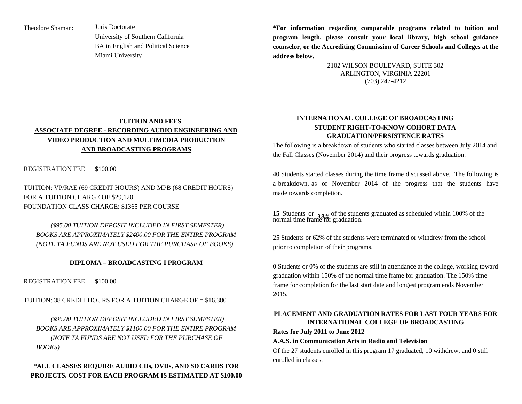Theodore Shaman: Juris Doctorate University of Southern California BA in English and Political Science Miami University

**\*For information regarding comparable programs related to tuition and program length, please consult your local library, high school guidance counselor, or the Accrediting Commission of Career Schools and Colleges at the address below.**

> 2102 WILSON BOULEVARD, SUITE 302 ARLINGTON, VIRGINIA 22201 (703) 247-4212

#### **TUITION AND FEES ASSOCIATE DEGREE - RECORDING AUDIO ENGINEERING AND VIDEO PRODUCTION AND MULTIMEDIA PRODUCTION AND BROADCASTING PROGRAMS**

REGISTRATION FEE \$100.00

TUITION: VP/RAE (69 CREDIT HOURS) AND MPB (68 CREDIT HOURS) FOR A TUITION CHARGE OF \$29,120 FOUNDATION CLASS CHARGE: \$1365 PER COURSE

*(\$95.00 TUITION DEPOSIT INCLUDED IN FIRST SEMESTER) BOOKS ARE APPROXIMATELY \$2400.00 FOR THE ENTIRE PROGRAM (NOTE TA FUNDS ARE NOT USED FOR THE PURCHASE OF BOOKS)*

#### **DIPLOMA – BROADCASTING I PROGRAM**

REGISTRATION FEE \$100.00

TUITION: 38 CREDIT HOURS FOR A TUITION CHARGE OF = \$16,380

*(\$95.00 TUITION DEPOSIT INCLUDED IN FIRST SEMESTER) BOOKS ARE APPROXIMATELY \$1100.00 FOR THE ENTIRE PROGRAM (NOTE TA FUNDS ARE NOT USED FOR THE PURCHASE OF BOOKS)*

#### **\*ALL CLASSES REQUIRE AUDIO CDs, DVDs, AND SD CARDS FOR PROJECTS. COST FOR EACH PROGRAM IS ESTIMATED AT \$100.00**

#### **INTERNATIONAL COLLEGE OF BROADCASTING STUDENT RIGHT-TO-KNOW COHORT DATA GRADUATION/PERSISTENCE RATES**

The following is a breakdown of students who started classes between July 2014 and the Fall Classes (November 2014) and their progress towards graduation.

40 Students started classes during the time frame discussed above. The following is a breakdown, as of November 2014 of the progress that the students have made towards completion.

**15** Students or  $\frac{3}{8}$  of the students graduated as scheduled within 100% of the normal time frame for graduation. normal time frame for graduation.

25 Students or 62% of the students were terminated or withdrew from the school prior to completion of their programs.

**0** Students or 0% of the students are still in attendance at the college, working toward graduation within 150% of the normal time frame for graduation. The 150% time frame for completion for the last start date and longest program ends November 2015.

#### **PLACEMENT AND GRADUATION RATES FOR LAST FOUR YEARS FOR INTERNATIONAL COLLEGE OF BROADCASTING**

**Rates for July 2011 to June 2012**

#### **A.A.S. in Communication Arts in Radio and Television**

Of the 27 students enrolled in this program 17 graduated, 10 withdrew, and 0 still enrolled in classes.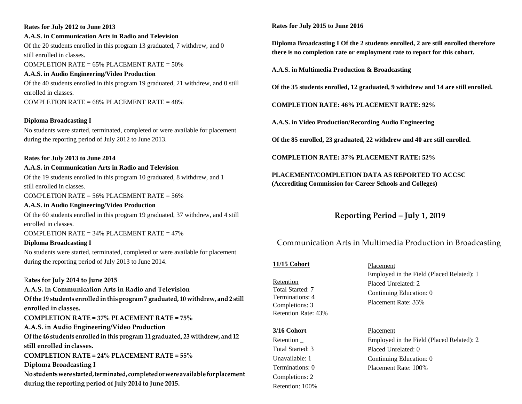## **Rates for July 2012 to June 2013 A.A.S. in Communication Arts in Radio and Television** Of the 20 students enrolled in this program 13 graduated, 7 withdrew, and 0 still enrolled in classes. COMPLETION RATE =  $65\%$  PLACEMENT RATE =  $50\%$ **A.A.S. in Audio Engineering/Video Production** Of the 40 students enrolled in this program 19 graduated, 21 withdrew, and 0 still enrolled in classes.

COMPLETION RATE =  $68\%$  PLACEMENT RATE =  $48\%$ 

#### **Diploma Broadcasting I**

No students were started, terminated, completed or were available for placement during the reporting period of July 2012 to June 2013.

#### **Rates for July 2013 to June 2014**

#### **A.A.S. in Communication Arts in Radio and Television**

Of the 19 students enrolled in this program 10 graduated, 8 withdrew, and 1 still enrolled in classes.

COMPLETION RATE =  $56\%$  PLACEMENT RATE =  $56\%$ 

#### **A.A.S. in Audio Engineering/Video Production**

Of the 60 students enrolled in this program 19 graduated, 37 withdrew, and 4 still enrolled in classes.

COMPLETION RATE =  $34\%$  PLACEMENT RATE =  $47\%$ 

#### **Diploma Broadcasting I**

No students were started, terminated, completed or were available for placement during the reporting period of July 2013 to June 2014.

#### R**ates for July 2014 to June 2015**

**A.A.S. in Communication Arts in Radio and Television Ofthe 19 students enrolled in this program 7 graduated, 10 withdrew, and 2 still enrolled in classes. COMPLETION RATE = 37% PLACEMENT RATE = 75% A.A.S. in Audio Engineering/Video Production Ofthe 46 students enrolled in this program 11 graduated, 23 withdrew, and 12 still enrolled inclasses. COMPLETION RATE = 24% PLACEMENT RATE = 55% Diploma Broadcasting I Nostudentswerestarted,terminated, completedorwereavailableforplacement during the reporting period ofJuly 2014 to June 2015.**

#### **Rates for July 2015 to June 2016**

**Diploma Broadcasting I Of the 2 students enrolled, 2 are still enrolled therefore there is no completion rate or employment rate to report for this cohort.**

**A.A.S. in Multimedia Production & Broadcasting**

**Of the 35 students enrolled, 12 graduated, 9 withdrew and 14 are still enrolled.** 

**COMPLETION RATE: 46% PLACEMENT RATE: 92%**

**A.A.S. in Video Production/Recording Audio Engineering**

**Of the 85 enrolled, 23 graduated, 22 withdrew and 40 are still enrolled.**

**COMPLETION RATE: 37% PLACEMENT RATE: 52%**

**PLACEMENT/COMPLETION DATA AS REPORTED TO ACCSC (Accrediting Commission for Career Schools and Colleges)**

**Reporting Period – July 1, 2019**

### Communication Arts in Multimedia Production in Broadcasting

#### **11/15 Cohort**

Retention Total Started: 7 Terminations: 4 Completions: 3 Retention Rate: 43%

#### **3/16 Cohort**

Retention \_ Total Started: 3 Unavailable: 1 Terminations: 0 Completions: 2 Retention: 100%

Placement Employed in the Field (Placed Related): 1 Placed Unrelated: 2 Continuing Education: 0 Placement Rate: 33%

#### Placement

Employed in the Field (Placed Related): 2 Placed Unrelated: 0 Continuing Education: 0 Placement Rate: 100%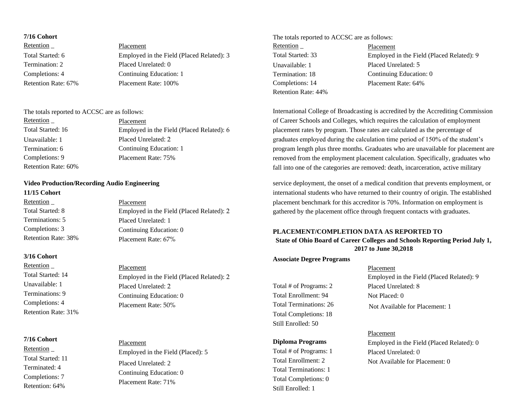| Employed in the Field (Placed Related): 3<br>Total Started: 6 |  |
|---------------------------------------------------------------|--|
| Termination: 2<br>Placed Unrelated: 0                         |  |
| Continuing Education: 1<br>Completions: 4                     |  |
| Retention Rate: 67%<br>Placement Rate: 100%                   |  |

| Retention           | Placement                                 |
|---------------------|-------------------------------------------|
| Total Started: 16   | Employed in the Field (Placed Related): 6 |
| Unavailable: 1      | Placed Unrelated: 2                       |
| Termination: 6      | Continuing Education: 1                   |
| Completions: 9      | Placement Rate: 75%                       |
| Retention Rate: 60% |                                           |

#### **Video Production/Recording Audio Engineering**

#### **11/15 Cohort**

| Retention           | Placement                                 |
|---------------------|-------------------------------------------|
| Total Started: 8    | Employed in the Field (Placed Related): 2 |
| Terminations: 5     | Placed Unrelated: 1                       |
| Completions: 3      | Continuing Education: 0                   |
| Retention Rate: 38% | Placement Rate: 67%                       |
|                     |                                           |

#### **3/16 Cohort**

Retention \_ Total Started: 14 Unavailable: 1 Terminations: 9 Completions: 4 Retention Rate: 31%

#### **7/16 Cohort**

Retention \_ Total Started: 11 Terminated: 4 Completions: 7 Retention: 64%

#### Placement Employed in the Field (Placed Related): 2 Placed Unrelated: 2 Continuing Education: 0 Placement Rate: 50%

## Placement Employed in the Field (Placed): 5 Placed Unrelated: 2 Continuing Education: 0 Placement Rate: 71%

#### **7/16 Cohort** The totals reported to ACCSC are as follows: Retention \_ Total Started: 33 Unavailable: 1 Termination: 18 Completions: 14 Retention Rate: 44% Placement Employed in the Field (Placed Related): 9 Placed Unrelated: 5 Continuing Education: 0 Placement Rate: 64%

The totals reported to ACCSC are as follows: International College of Broadcasting is accredited by the Accrediting Commission of Career Schools and Colleges, which requires the calculation of employment placement rates by program. Those rates are calculated as the percentage of graduates employed during the calculation time period of 150% of the student's program length plus three months. Graduates who are unavailable for placement are removed from the employment placement calculation. Specifically, graduates who fall into one of the categories are removed: death, incarceration, active military

> service deployment, the onset of a medical condition that prevents employment, or international students who have returned to their country of origin. The established placement benchmark for this accreditor is 70%. Information on employment is gathered by the placement office through frequent contacts with graduates.

#### **PLACEMENT/COMPLETION DATA AS REPORTED TO State of Ohio Board of Career Colleges and Schools Reporting Period July 1, 2017 to June 30,2018**

#### **Associate Degree Programs**

Total # of Programs: 2 Total Enrollment: 94 Total Terminations: 26 Total Completions: 18 Still Enrolled: 50

#### **Diploma Programs**

Total # of Programs: 1 Total Enrollment: 2 Total Terminations: 1 Total Completions: 0 Still Enrolled: 1

#### Placement Employed in the Field (Placed Related): 9 Placed Unrelated: 8 Not Placed: 0

Not Available for Placement: 1

#### Placement

Employed in the Field (Placed Related): 0 Placed Unrelated: 0 Not Available for Placement: 0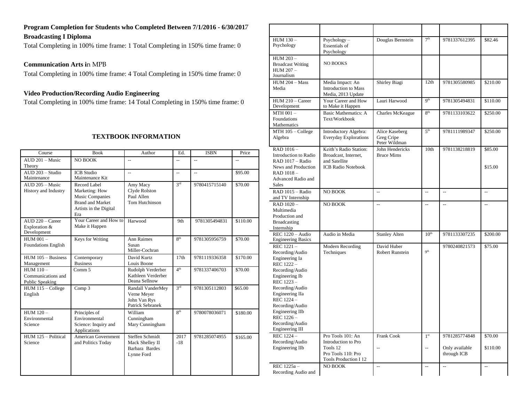#### **Program Completion for Students who Completed Between 7/1/2016 - 6/30/201**7 **Broadcasting I Diploma**

Total Completing in 100% time frame: 1 Total Completing in 150% time frame: 0

**Communication Arts i**n MPB

Total Completing in 100% time frame: 4 Total Completing in 150% time frame: 0

#### **Video Production/Recording Audio Engineering**

Total Completing in 100% time frame: 14 Total Completing in 150% time frame: 0

#### **TEXTBOOK INFORMATION**

| Course                                               | <b>Book</b>                                                                                                          | Author                                                               | Ed.             | <b>ISBN</b>              | Price    |
|------------------------------------------------------|----------------------------------------------------------------------------------------------------------------------|----------------------------------------------------------------------|-----------------|--------------------------|----------|
| AUD 201 - Music<br>Theory                            | NO BOOK                                                                                                              | $\overline{\phantom{a}}$                                             | $-$             | $\overline{\phantom{a}}$ | --       |
| AUD 203 - Studio<br>Maintenance                      | <b>ICB</b> Studio<br>Maintenance Kit                                                                                 | $\overline{a}$                                                       | $\overline{a}$  | $\overline{\phantom{a}}$ | \$95.00  |
| $ALID$ 205 – Music<br>History and Industry           | Record Label<br>Marketing: How<br><b>Music Companies</b><br><b>Brand and Market</b><br>Artists in the Digital<br>Era | Amy Macy<br>Clyde Rolston<br>Paul Allen<br>Tom Hutchinson            | 3 <sup>rd</sup> | 9780415715140            | \$70.00  |
| $AUD 220 - Career$<br>Exploration &<br>Development   | Your Career and How to<br>Make it Happen                                                                             | Harwood                                                              | 9th             | 9781305494831            | \$110.00 |
| $HUM$ 001 $-$<br><b>Foundations English</b>          | Keys for Writing                                                                                                     | <b>Ann Raimes</b><br>Susan<br>Miller-Cochran                         | $R^{th}$        | 9781305956759            | \$70.00  |
| $HUM$ 105 – Business<br>Management                   | Contemporary<br><b>Business</b>                                                                                      | David Kurtz<br>Louis Boone                                           | 17th            | 9781119336358            | \$170.00 |
| $HUM 110 -$<br>Communications and<br>Public Speaking | Comm 5                                                                                                               | Rudolph Verderber<br>Kathleen Verderber<br>Deana Sellnow             | 4 <sup>th</sup> | 9781337406703            | \$70.00  |
| $HUM 115 - College$<br>English                       | Comp 3                                                                                                               | Randall VanderMey<br>Verne Meyer<br>John Van Rys<br>Patrick Sebranek | 3 <sup>rd</sup> | 9781305112803            | \$65.00  |
| $HUM 120 -$<br>Environmental<br>Science              | Principles of<br>Environmental<br>Science: Inquiry and<br>Applications                                               | William<br>Cunningham<br>Mary Cunningham                             | $R^{th}$        | 9780078036071            | \$180.00 |
| HUM 125 - Political<br>Science                       | American Government<br>and Politics Today                                                                            | Steffen Schmidt<br>Mack Shelley II<br>Barbara Bardes<br>Lynne Ford   | 2017<br>$-18$   | 9781285074955            | \$165.00 |

|                                                      |                                                    |                                  | 7 <sup>th</sup>          |                          |                          |
|------------------------------------------------------|----------------------------------------------------|----------------------------------|--------------------------|--------------------------|--------------------------|
| HUM 130-<br>Psychology                               | $Psychology -$<br>Essentials of                    | Douglas Bernstein                |                          | 9781337612395            | \$82.46                  |
|                                                      | Psychology                                         |                                  |                          |                          |                          |
| HUM 203-<br><b>Broadcast Writing</b>                 | <b>NO BOOKS</b>                                    |                                  |                          |                          |                          |
| HUM 207 -                                            |                                                    |                                  |                          |                          |                          |
| Journalism                                           |                                                    |                                  |                          |                          |                          |
| $HUM 204 - Mass$                                     | Media Impact: An                                   | Shirley Biagi                    | 12th                     | 9781305580985            | \$210.00                 |
| Media                                                | <b>Introduction to Mass</b>                        |                                  |                          |                          |                          |
|                                                      | Media, 2013 Update                                 |                                  | Q <sup>th</sup>          |                          |                          |
| $HUM 210 - Career$<br>Development                    | Your Career and How<br>to Make it Happen           | Lauri Harwood                    |                          | 9781305494831            | \$110.00                 |
| $MTH$ 001 $-$                                        | <b>Basic Mathematics: A</b>                        | Charles McKeague                 | 8 <sup>th</sup>          | 9781133103622            | \$250.00                 |
| Foundations                                          | Text/Workbook                                      |                                  |                          |                          |                          |
| Mathematics                                          |                                                    |                                  |                          |                          |                          |
| $MTH$ 105 – College                                  | Introductory Algebra:                              | Alice Kaseberg                   | 5 <sup>th</sup>          | 9781111989347            | \$250.00                 |
| Algebra                                              | <b>Everyday Explorations</b>                       | Greg Cripe                       |                          |                          |                          |
|                                                      | Keith's Radio Station:                             | Peter Wildman<br>John Hendericks | 10th                     |                          |                          |
| RAD 1016-<br>Introduction to Radio                   | Broadcast, Internet,                               | <b>Bruce Mims</b>                |                          | 9781138218819            | \$85.00                  |
| RAD 1017 - Radio                                     | and Satellite                                      |                                  |                          |                          |                          |
| News and Production                                  | <b>ICB Radio Notebook</b>                          |                                  |                          |                          | \$15.00                  |
| RAD 1018-                                            |                                                    |                                  |                          |                          |                          |
| Advanced Radio and                                   |                                                    |                                  |                          |                          |                          |
| Sales                                                |                                                    |                                  |                          |                          |                          |
| RAD 1015 - Radio<br>and TV Internship                | NO BOOK                                            | $\overline{\phantom{a}}$         | Ξ.                       | $\overline{\phantom{a}}$ | Ξ.                       |
| RAD 1020-                                            | NO BOOK                                            | $\overline{\phantom{a}}$         | $\overline{\phantom{a}}$ | u.                       | $\overline{a}$           |
| Multimedia                                           |                                                    |                                  |                          |                          |                          |
| Production and                                       |                                                    |                                  |                          |                          |                          |
| <b>Broadcasting</b>                                  |                                                    |                                  |                          |                          |                          |
| Internship                                           |                                                    |                                  |                          |                          |                          |
| <b>REC</b> 1220 - Audio<br><b>Engineering Basics</b> | Audio in Media                                     | <b>Stanley Alten</b>             | 10 <sup>th</sup>         | 9781133307235            | \$200.00                 |
| REC 1221-                                            | Modern Recording                                   | David Huber                      |                          | 9780240821573            | \$75.00                  |
| Recording/Audio                                      | Techniques                                         | Robert Runstein                  | Q <sup>th</sup>          |                          |                          |
| Engineering Ia                                       |                                                    |                                  |                          |                          |                          |
| REC 1222 -                                           |                                                    |                                  |                          |                          |                          |
| Recording/Audio<br>Engineering Ib                    |                                                    |                                  |                          |                          |                          |
| REC 1223-                                            |                                                    |                                  |                          |                          |                          |
| Recording/Audio                                      |                                                    |                                  |                          |                          |                          |
| Engineering IIa                                      |                                                    |                                  |                          |                          |                          |
| REC 1224 -                                           |                                                    |                                  |                          |                          |                          |
| Recording/Audio                                      |                                                    |                                  |                          |                          |                          |
| Engineering IIb<br>REC 1226 –                        |                                                    |                                  |                          |                          |                          |
| Recording/Audio                                      |                                                    |                                  |                          |                          |                          |
| Engineering III                                      |                                                    |                                  |                          |                          |                          |
| REC 1224 -                                           | Pro Tools 101: An                                  | Frank Cook                       | 1 <sup>st</sup>          | 9781285774848            | \$70.00                  |
| Recording/Audio                                      | Introduction to Pro                                |                                  |                          |                          |                          |
| Engineering IIb                                      | Tools 12                                           | --                               | --                       | Only available           | \$110.00                 |
|                                                      | Pro Tools 110: Pro<br><b>Tools Production I 12</b> |                                  |                          | through ICB              |                          |
| REC 1225a -                                          | NO BOOK                                            | $\overline{\phantom{a}}$         | $\overline{\phantom{a}}$ | $\overline{\phantom{a}}$ | $\overline{\phantom{a}}$ |
| Recording Audio and                                  |                                                    |                                  |                          |                          |                          |
|                                                      |                                                    |                                  |                          |                          |                          |